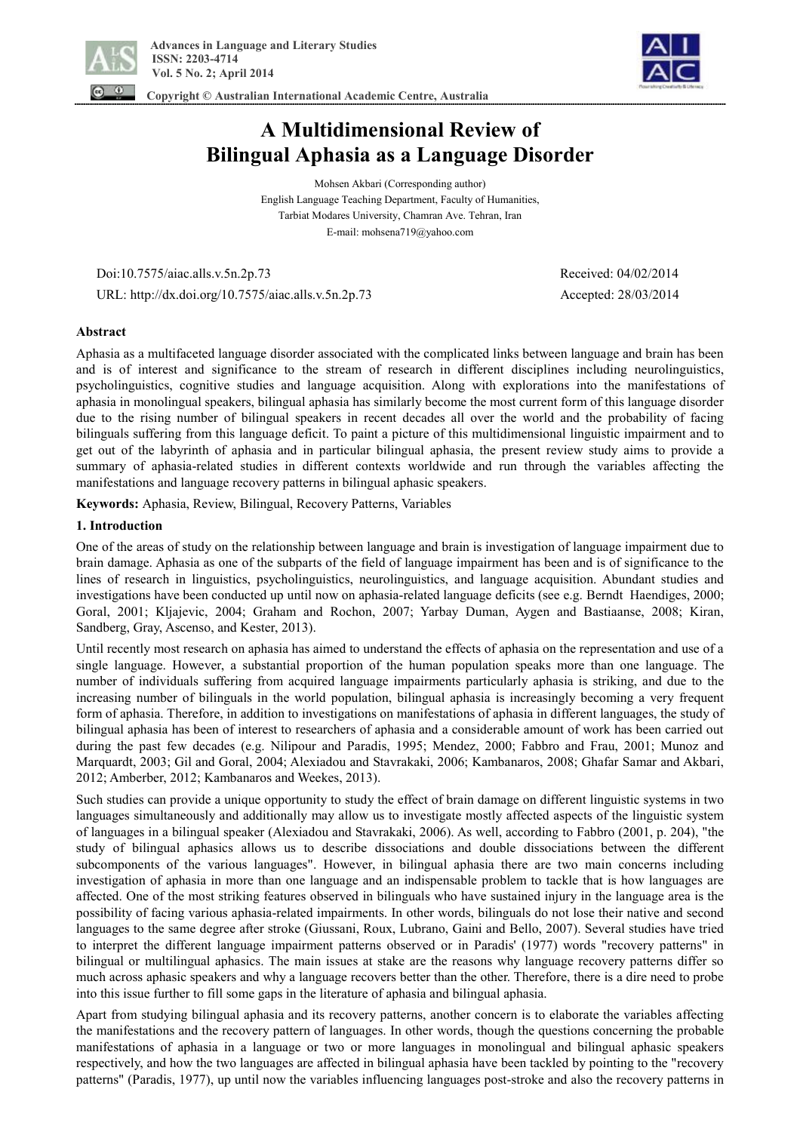

 **Copyright © Australian International Academic Centre, Australia** 



# **A Multidimensional Review of Bilingual Aphasia as a Language Disorder**

Mohsen Akbari (Corresponding author) English Language Teaching Department, Faculty of Humanities, Tarbiat Modares University, Chamran Ave. Tehran, Iran E-mail: mohsena719@yahoo.com

 Doi:10.7575/aiac.alls.v.5n.2p.73 Received: 04/02/2014 URL: http://dx.doi.org/10.7575/aiac.alls.v.5n.2p.73 Accepted: 28/03/2014

## **Abstract**

Aphasia as a multifaceted language disorder associated with the complicated links between language and brain has been and is of interest and significance to the stream of research in different disciplines including neurolinguistics, psycholinguistics, cognitive studies and language acquisition. Along with explorations into the manifestations of aphasia in monolingual speakers, bilingual aphasia has similarly become the most current form of this language disorder due to the rising number of bilingual speakers in recent decades all over the world and the probability of facing bilinguals suffering from this language deficit. To paint a picture of this multidimensional linguistic impairment and to get out of the labyrinth of aphasia and in particular bilingual aphasia, the present review study aims to provide a summary of aphasia-related studies in different contexts worldwide and run through the variables affecting the manifestations and language recovery patterns in bilingual aphasic speakers.

**Keywords:** Aphasia, Review, Bilingual, Recovery Patterns, Variables

## **1. Introduction**

One of the areas of study on the relationship between language and brain is investigation of language impairment due to brain damage. Aphasia as one of the subparts of the field of language impairment has been and is of significance to the lines of research in linguistics, psycholinguistics, neurolinguistics, and language acquisition. Abundant studies and investigations have been conducted up until now on aphasia-related language deficits (see e.g. Berndt Haendiges, 2000; Goral, 2001; Kljajevic, 2004; Graham and Rochon, 2007; Yarbay Duman, Aygen and Bastiaanse, 2008; Kiran, Sandberg, Gray, Ascenso, and Kester, 2013).

Until recently most research on aphasia has aimed to understand the effects of aphasia on the representation and use of a single language. However, a substantial proportion of the human population speaks more than one language. The number of individuals suffering from acquired language impairments particularly aphasia is striking, and due to the increasing number of bilinguals in the world population, bilingual aphasia is increasingly becoming a very frequent form of aphasia. Therefore, in addition to investigations on manifestations of aphasia in different languages, the study of bilingual aphasia has been of interest to researchers of aphasia and a considerable amount of work has been carried out during the past few decades (e.g. Nilipour and Paradis, 1995; Mendez, 2000; Fabbro and Frau, 2001; Munoz and Marquardt, 2003; Gil and Goral, 2004; Alexiadou and Stavrakaki, 2006; Kambanaros, 2008; Ghafar Samar and Akbari, 2012; Amberber, 2012; Kambanaros and Weekes, 2013).

Such studies can provide a unique opportunity to study the effect of brain damage on different linguistic systems in two languages simultaneously and additionally may allow us to investigate mostly affected aspects of the linguistic system of languages in a bilingual speaker (Alexiadou and Stavrakaki, 2006). As well, according to Fabbro (2001, p. 204), "the study of bilingual aphasics allows us to describe dissociations and double dissociations between the different subcomponents of the various languages". However, in bilingual aphasia there are two main concerns including investigation of aphasia in more than one language and an indispensable problem to tackle that is how languages are affected. One of the most striking features observed in bilinguals who have sustained injury in the language area is the possibility of facing various aphasia-related impairments. In other words, bilinguals do not lose their native and second languages to the same degree after stroke (Giussani, Roux, Lubrano, Gaini and Bello, 2007). Several studies have tried to interpret the different language impairment patterns observed or in Paradis' (1977) words "recovery patterns" in bilingual or multilingual aphasics. The main issues at stake are the reasons why language recovery patterns differ so much across aphasic speakers and why a language recovers better than the other. Therefore, there is a dire need to probe into this issue further to fill some gaps in the literature of aphasia and bilingual aphasia.

Apart from studying bilingual aphasia and its recovery patterns, another concern is to elaborate the variables affecting the manifestations and the recovery pattern of languages. In other words, though the questions concerning the probable manifestations of aphasia in a language or two or more languages in monolingual and bilingual aphasic speakers respectively, and how the two languages are affected in bilingual aphasia have been tackled by pointing to the "recovery patterns" (Paradis, 1977), up until now the variables influencing languages post-stroke and also the recovery patterns in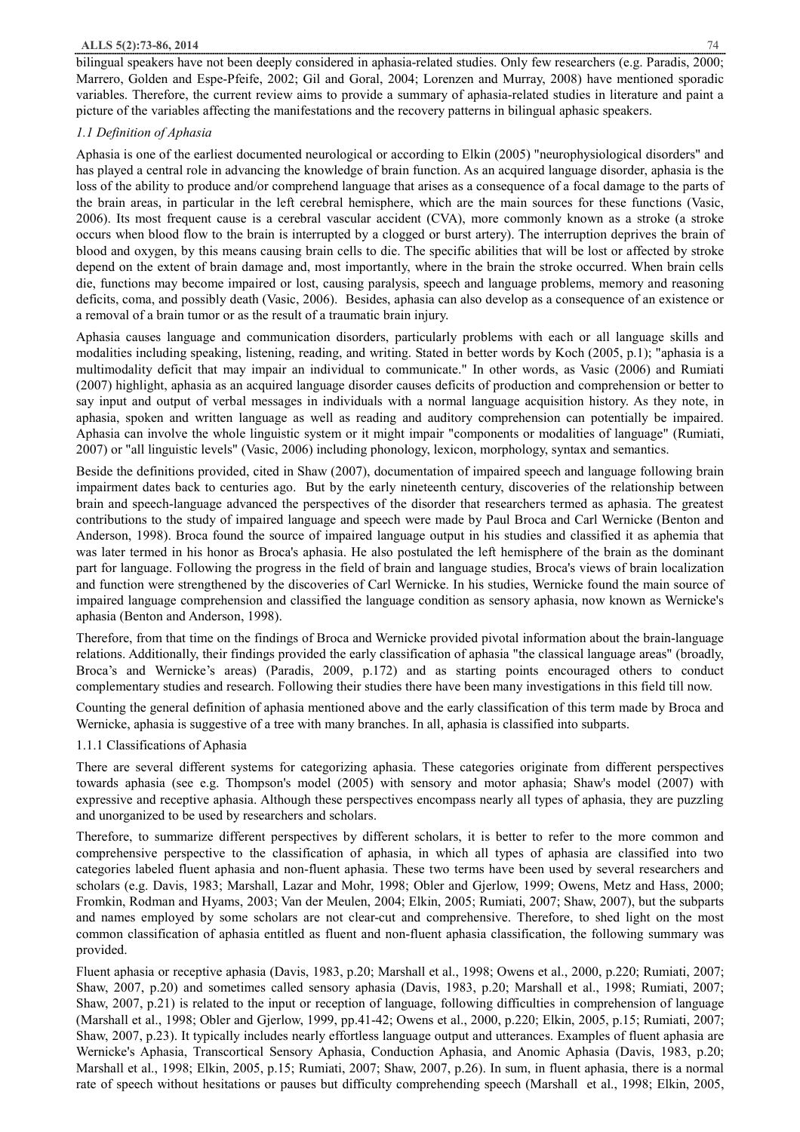bilingual speakers have not been deeply considered in aphasia-related studies. Only few researchers (e.g. Paradis, 2000; Marrero, Golden and Espe-Pfeife, 2002; Gil and Goral, 2004; Lorenzen and Murray, 2008) have mentioned sporadic variables. Therefore, the current review aims to provide a summary of aphasia-related studies in literature and paint a picture of the variables affecting the manifestations and the recovery patterns in bilingual aphasic speakers.

### *1.1 Definition of Aphasia*

Aphasia is one of the earliest documented neurological or according to Elkin (2005) "neurophysiological disorders" and has played a central role in advancing the knowledge of brain function. As an acquired language disorder, aphasia is the loss of the ability to produce and/or comprehend language that arises as a consequence of a focal damage to the parts of the brain areas, in particular in the left cerebral hemisphere, which are the main sources for these functions (Vasic, 2006). Its most frequent cause is a cerebral vascular accident (CVA), more commonly known as a stroke (a stroke occurs when blood flow to the brain is interrupted by a clogged or burst artery). The interruption deprives the brain of blood and oxygen, by this means causing brain cells to die. The specific abilities that will be lost or affected by stroke depend on the extent of brain damage and, most importantly, where in the brain the stroke occurred. When brain cells die, functions may become impaired or lost, causing paralysis, speech and language problems, memory and reasoning deficits, coma, and possibly death (Vasic, 2006). Besides, aphasia can also develop as a consequence of an existence or a removal of a brain tumor or as the result of a traumatic brain injury.

Aphasia causes language and communication disorders, particularly problems with each or all language skills and modalities including speaking, listening, reading, and writing. Stated in better words by Koch (2005, p.1); "aphasia is a multimodality deficit that may impair an individual to communicate." In other words, as Vasic (2006) and Rumiati (2007) highlight, aphasia as an acquired language disorder causes deficits of production and comprehension or better to say input and output of verbal messages in individuals with a normal language acquisition history. As they note, in aphasia, spoken and written language as well as reading and auditory comprehension can potentially be impaired. Aphasia can involve the whole linguistic system or it might impair "components or modalities of language" (Rumiati, 2007) or "all linguistic levels" (Vasic, 2006) including phonology, lexicon, morphology, syntax and semantics.

Beside the definitions provided, cited in Shaw (2007), documentation of impaired speech and language following brain impairment dates back to centuries ago. But by the early nineteenth century, discoveries of the relationship between brain and speech-language advanced the perspectives of the disorder that researchers termed as aphasia. The greatest contributions to the study of impaired language and speech were made by Paul Broca and Carl Wernicke (Benton and Anderson, 1998). Broca found the source of impaired language output in his studies and classified it as aphemia that was later termed in his honor as Broca's aphasia. He also postulated the left hemisphere of the brain as the dominant part for language. Following the progress in the field of brain and language studies, Broca's views of brain localization and function were strengthened by the discoveries of Carl Wernicke. In his studies, Wernicke found the main source of impaired language comprehension and classified the language condition as sensory aphasia, now known as Wernicke's aphasia (Benton and Anderson, 1998).

Therefore, from that time on the findings of Broca and Wernicke provided pivotal information about the brain-language relations. Additionally, their findings provided the early classification of aphasia "the classical language areas" (broadly, Broca's and Wernicke's areas) (Paradis, 2009, p.172) and as starting points encouraged others to conduct complementary studies and research. Following their studies there have been many investigations in this field till now.

Counting the general definition of aphasia mentioned above and the early classification of this term made by Broca and Wernicke, aphasia is suggestive of a tree with many branches. In all, aphasia is classified into subparts.

1.1.1 Classifications of Aphasia

There are several different systems for categorizing aphasia. These categories originate from different perspectives towards aphasia (see e.g. Thompson's model (2005) with sensory and motor aphasia; Shaw's model (2007) with expressive and receptive aphasia. Although these perspectives encompass nearly all types of aphasia, they are puzzling and unorganized to be used by researchers and scholars.

Therefore, to summarize different perspectives by different scholars, it is better to refer to the more common and comprehensive perspective to the classification of aphasia, in which all types of aphasia are classified into two categories labeled fluent aphasia and non-fluent aphasia. These two terms have been used by several researchers and scholars (e.g. Davis, 1983; Marshall, Lazar and Mohr, 1998; Obler and Gjerlow, 1999; Owens, Metz and Hass, 2000; Fromkin, Rodman and Hyams, 2003; Van der Meulen, 2004; Elkin, 2005; Rumiati, 2007; Shaw, 2007), but the subparts and names employed by some scholars are not clear-cut and comprehensive. Therefore, to shed light on the most common classification of aphasia entitled as fluent and non-fluent aphasia classification, the following summary was provided.

Fluent aphasia or receptive aphasia (Davis, 1983, p.20; Marshall et al., 1998; Owens et al., 2000, p.220; Rumiati, 2007; Shaw, 2007, p.20) and sometimes called sensory aphasia (Davis, 1983, p.20; Marshall et al., 1998; Rumiati, 2007; Shaw, 2007, p.21) is related to the input or reception of language, following difficulties in comprehension of language (Marshall et al., 1998; Obler and Gjerlow, 1999, pp.41-42; Owens et al., 2000, p.220; Elkin, 2005, p.15; Rumiati, 2007; Shaw, 2007, p.23). It typically includes nearly effortless language output and utterances. Examples of fluent aphasia are Wernicke's Aphasia, Transcortical Sensory Aphasia, Conduction Aphasia, and Anomic Aphasia (Davis, 1983, p.20; Marshall et al., 1998; Elkin, 2005, p.15; Rumiati, 2007; Shaw, 2007, p.26). In sum, in fluent aphasia, there is a normal rate of speech without hesitations or pauses but difficulty comprehending speech (Marshall et al., 1998; Elkin, 2005,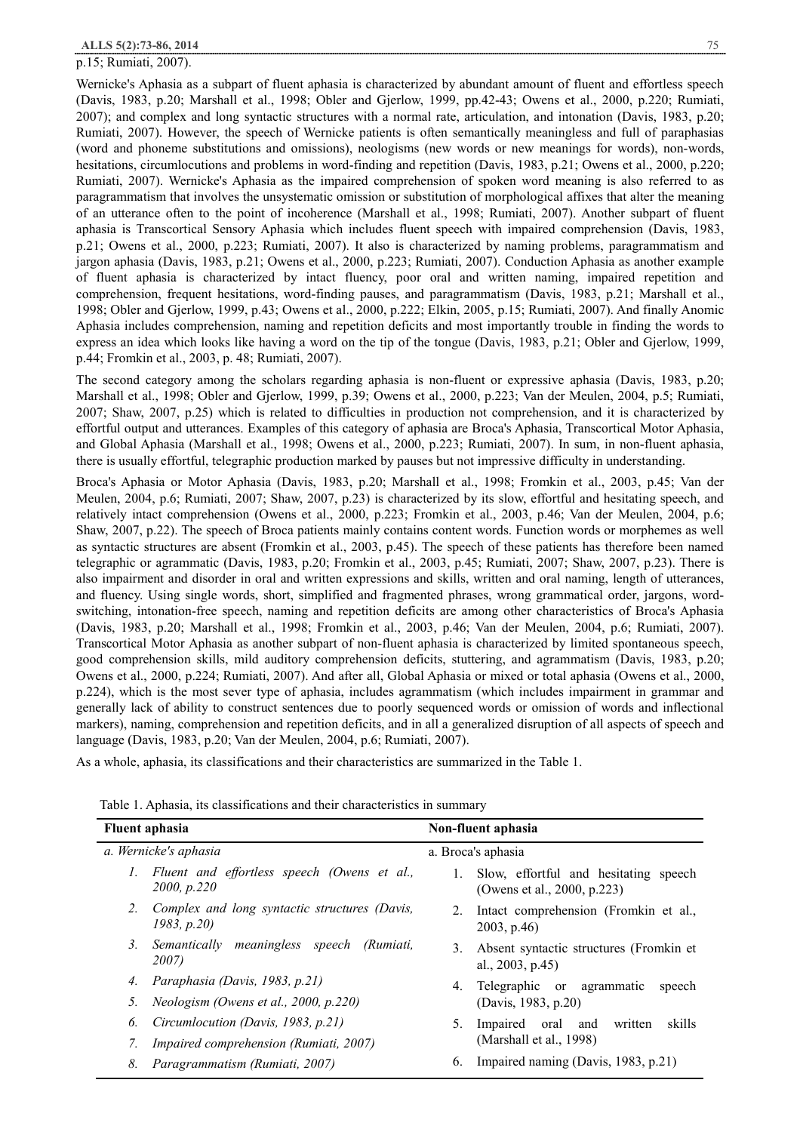## p.15; Rumiati, 2007).

Wernicke's Aphasia as a subpart of fluent aphasia is characterized by abundant amount of fluent and effortless speech (Davis, 1983, p.20; Marshall et al., 1998; Obler and Gjerlow, 1999, pp.42-43; Owens et al., 2000, p.220; Rumiati, 2007); and complex and long syntactic structures with a normal rate, articulation, and intonation (Davis, 1983, p.20; Rumiati, 2007). However, the speech of Wernicke patients is often semantically meaningless and full of paraphasias (word and phoneme substitutions and omissions), neologisms (new words or new meanings for words), non-words, hesitations, circumlocutions and problems in word-finding and repetition (Davis, 1983, p.21; Owens et al., 2000, p.220; Rumiati, 2007). Wernicke's Aphasia as the impaired comprehension of spoken word meaning is also referred to as paragrammatism that involves the unsystematic omission or substitution of morphological affixes that alter the meaning of an utterance often to the point of incoherence (Marshall et al., 1998; Rumiati, 2007). Another subpart of fluent aphasia is Transcortical Sensory Aphasia which includes fluent speech with impaired comprehension (Davis, 1983, p.21; Owens et al., 2000, p.223; Rumiati, 2007). It also is characterized by naming problems, paragrammatism and jargon aphasia (Davis, 1983, p.21; Owens et al., 2000, p.223; Rumiati, 2007). Conduction Aphasia as another example of fluent aphasia is characterized by intact fluency, poor oral and written naming, impaired repetition and comprehension, frequent hesitations, word-finding pauses, and paragrammatism (Davis, 1983, p.21; Marshall et al., 1998; Obler and Gjerlow, 1999, p.43; Owens et al., 2000, p.222; Elkin, 2005, p.15; Rumiati, 2007). And finally Anomic Aphasia includes comprehension, naming and repetition deficits and most importantly trouble in finding the words to express an idea which looks like having a word on the tip of the tongue (Davis, 1983, p.21; Obler and Gjerlow, 1999, p.44; Fromkin et al., 2003, p. 48; Rumiati, 2007).

The second category among the scholars regarding aphasia is non-fluent or expressive aphasia (Davis, 1983, p.20; Marshall et al., 1998; Obler and Gjerlow, 1999, p.39; Owens et al., 2000, p.223; Van der Meulen, 2004, p.5; Rumiati, 2007; Shaw, 2007, p.25) which is related to difficulties in production not comprehension, and it is characterized by effortful output and utterances. Examples of this category of aphasia are Broca's Aphasia, Transcortical Motor Aphasia, and Global Aphasia (Marshall et al., 1998; Owens et al., 2000, p.223; Rumiati, 2007). In sum, in non-fluent aphasia, there is usually effortful, telegraphic production marked by pauses but not impressive difficulty in understanding.

Broca's Aphasia or Motor Aphasia (Davis, 1983, p.20; Marshall et al., 1998; Fromkin et al., 2003, p.45; Van der Meulen, 2004, p.6; Rumiati, 2007; Shaw, 2007, p.23) is characterized by its slow, effortful and hesitating speech, and relatively intact comprehension (Owens et al., 2000, p.223; Fromkin et al., 2003, p.46; Van der Meulen, 2004, p.6; Shaw, 2007, p.22). The speech of Broca patients mainly contains content words. Function words or morphemes as well as syntactic structures are absent (Fromkin et al., 2003, p.45). The speech of these patients has therefore been named telegraphic or agrammatic (Davis, 1983, p.20; Fromkin et al., 2003, p.45; Rumiati, 2007; Shaw, 2007, p.23). There is also impairment and disorder in oral and written expressions and skills, written and oral naming, length of utterances, and fluency. Using single words, short, simplified and fragmented phrases, wrong grammatical order, jargons, wordswitching, intonation-free speech, naming and repetition deficits are among other characteristics of Broca's Aphasia (Davis, 1983, p.20; Marshall et al., 1998; Fromkin et al., 2003, p.46; Van der Meulen, 2004, p.6; Rumiati, 2007). Transcortical Motor Aphasia as another subpart of non-fluent aphasia is characterized by limited spontaneous speech, good comprehension skills, mild auditory comprehension deficits, stuttering, and agrammatism (Davis, 1983, p.20; Owens et al., 2000, p.224; Rumiati, 2007). And after all, Global Aphasia or mixed or total aphasia (Owens et al., 2000, p.224), which is the most sever type of aphasia, includes agrammatism (which includes impairment in grammar and generally lack of ability to construct sentences due to poorly sequenced words or omission of words and inflectional markers), naming, comprehension and repetition deficits, and in all a generalized disruption of all aspects of speech and language (Davis, 1983, p.20; Van der Meulen, 2004, p.6; Rumiati, 2007).

As a whole, aphasia, its classifications and their characteristics are summarized in the Table 1.

| <b>Fluent</b> aphasia |                                                             |    | Non-fluent aphasia                                                   |  |  |
|-----------------------|-------------------------------------------------------------|----|----------------------------------------------------------------------|--|--|
|                       | a. Wernicke's aphasia                                       |    | a. Broca's aphasia                                                   |  |  |
| $\mathcal{L}$         | Fluent and effortless speech (Owens et al.,<br>2000, p.220  | 1. | Slow, effortful and hesitating speech<br>(Owens et al., 2000, p.223) |  |  |
| 2.                    | Complex and long syntactic structures (Davis,<br>1983, p.20 | 2. | Intact comprehension (Fromkin et al.,<br>$2003$ , p.46)              |  |  |
| 3.                    | Semantically meaningless speech (Rumiati,<br><i>2007</i>    |    | 3. Absent syntactic structures (Fromkin et<br>al., $2003$ , p.45)    |  |  |
| 4.                    | Paraphasia (Davis, 1983, p.21)                              | 4. | Telegraphic or agrammatic<br>speech                                  |  |  |
| 5.                    | Neologism (Owens et al., 2000, $p.220$ )                    |    | (Davis, 1983, p.20)                                                  |  |  |
| 6.                    | Circumlocution (Davis, 1983, p.21)                          | 5. | skills<br>Impaired oral and<br>written                               |  |  |
|                       | Impaired comprehension (Rumiati, 2007)                      |    | (Marshall et al., 1998)                                              |  |  |
| 8.                    | Paragrammatism (Rumiati, 2007)                              | 6. | Impaired naming (Davis, 1983, p.21)                                  |  |  |

Table 1. Aphasia, its classifications and their characteristics in summary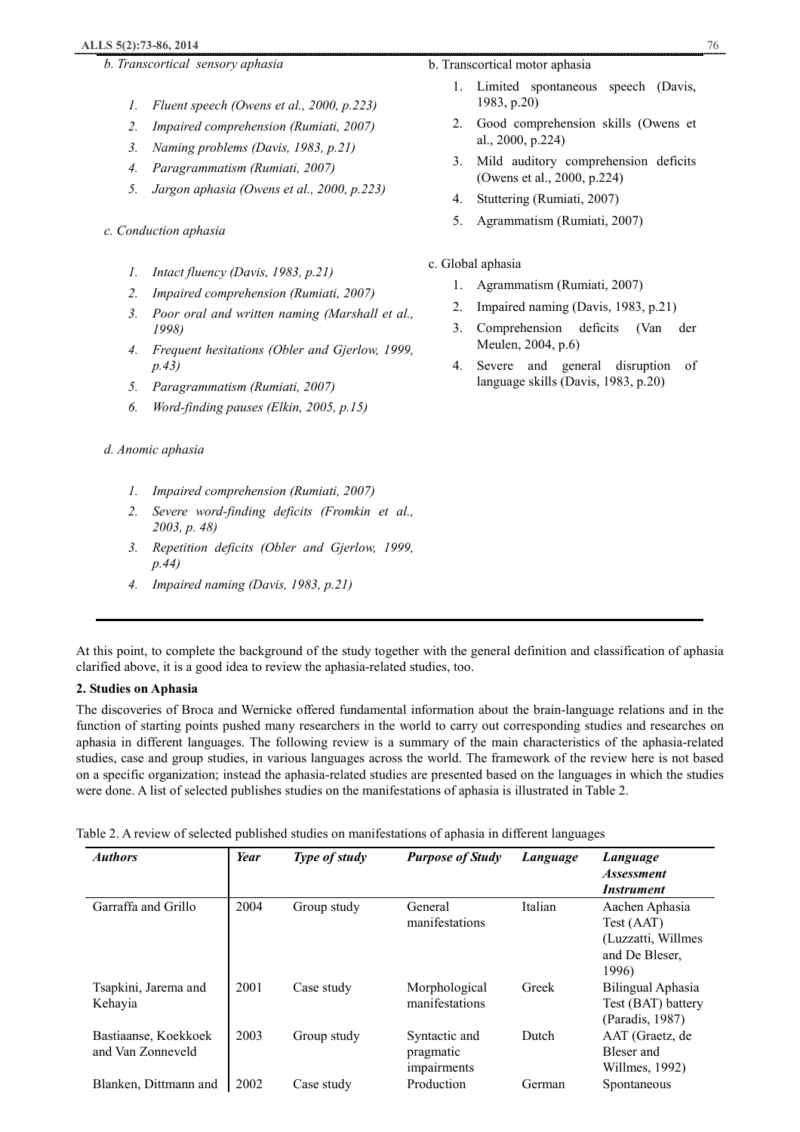## **ALLS 5(2):73-86, 2014** 76

- *b. Transcortical sensory aphasia* 
	- *1. Fluent speech (Owens et al., 2000, p.223)*
	- *2. Impaired comprehension (Rumiati, 2007)*
	- *3. Naming problems (Davis, 1983, p.21)*
	- *4. Paragrammatism (Rumiati, 2007)*
	- *5. Jargon aphasia (Owens et al., 2000, p.223)*
- *c. Conduction aphasia* 
	- *1. Intact fluency (Davis, 1983, p.21)*
	- *2. Impaired comprehension (Rumiati, 2007)*
	- *3. Poor oral and written naming (Marshall et al., 1998)*
	- *4. Frequent hesitations (Obler and Gjerlow, 1999, p.43)*
	- *5. Paragrammatism (Rumiati, 2007)*
	- *6. Word-finding pauses (Elkin, 2005, p.15)*

## *d. Anomic aphasia*

- *1. Impaired comprehension (Rumiati, 2007)*
- *2. Severe word-finding deficits (Fromkin et al., 2003, p. 48)*
- *3. Repetition deficits (Obler and Gjerlow, 1999, p.44)*
- *4. Impaired naming (Davis, 1983, p.21)*
- b. Transcortical motor aphasia
	- 1. Limited spontaneous speech (Davis, 1983, p.20)
	- 2. Good comprehension skills (Owens et al., 2000, p.224)
	- 3. Mild auditory comprehension deficits (Owens et al., 2000, p.224)
	- 4. Stuttering (Rumiati, 2007)
	- 5. Agrammatism (Rumiati, 2007)
- c. Global aphasia
	- 1. Agrammatism (Rumiati, 2007)
	- 2. Impaired naming (Davis, 1983, p.21)
	- 3. Comprehension deficits (Van der Meulen, 2004, p.6)
	- 4. Severe and general disruption of language skills (Davis, 1983, p.20)

At this point, to complete the background of the study together with the general definition and classification of aphasia clarified above, it is a good idea to review the aphasia-related studies, too.

## **2. Studies on Aphasia**

The discoveries of Broca and Wernicke offered fundamental information about the brain-language relations and in the function of starting points pushed many researchers in the world to carry out corresponding studies and researches on aphasia in different languages. The following review is a summary of the main characteristics of the aphasia-related studies, case and group studies, in various languages across the world. The framework of the review here is not based on a specific organization; instead the aphasia-related studies are presented based on the languages in which the studies were done. A list of selected publishes studies on the manifestations of aphasia is illustrated in Table 2.

| Table 2. A review of selected published studies on manifestations of aphasia in different languages |  |  |
|-----------------------------------------------------------------------------------------------------|--|--|
|                                                                                                     |  |  |

| <b>Authors</b>                            | Year | Type of study | <b>Purpose of Study</b>                   | Language | Language<br><i><b>Assessment</b></i><br><i><b>Instrument</b></i>              |
|-------------------------------------------|------|---------------|-------------------------------------------|----------|-------------------------------------------------------------------------------|
| Garraffa and Grillo                       | 2004 | Group study   | General<br>manifestations                 | Italian  | Aachen Aphasia<br>Test (AAT)<br>(Luzzatti, Willmes<br>and De Bleser,<br>1996) |
| Tsapkini, Jarema and<br>Kehayia           | 2001 | Case study    | Morphological<br>manifestations           | Greek    | Bilingual Aphasia<br>Test (BAT) battery<br>(Paradis, 1987)                    |
| Bastiaanse, Koekkoek<br>and Van Zonneveld | 2003 | Group study   | Syntactic and<br>pragmatic<br>impairments | Dutch    | AAT (Graetz, de<br>Bleser and<br>Willmes, 1992)                               |
| Blanken, Dittmann and                     | 2002 | Case study    | Production                                | German   | Spontaneous                                                                   |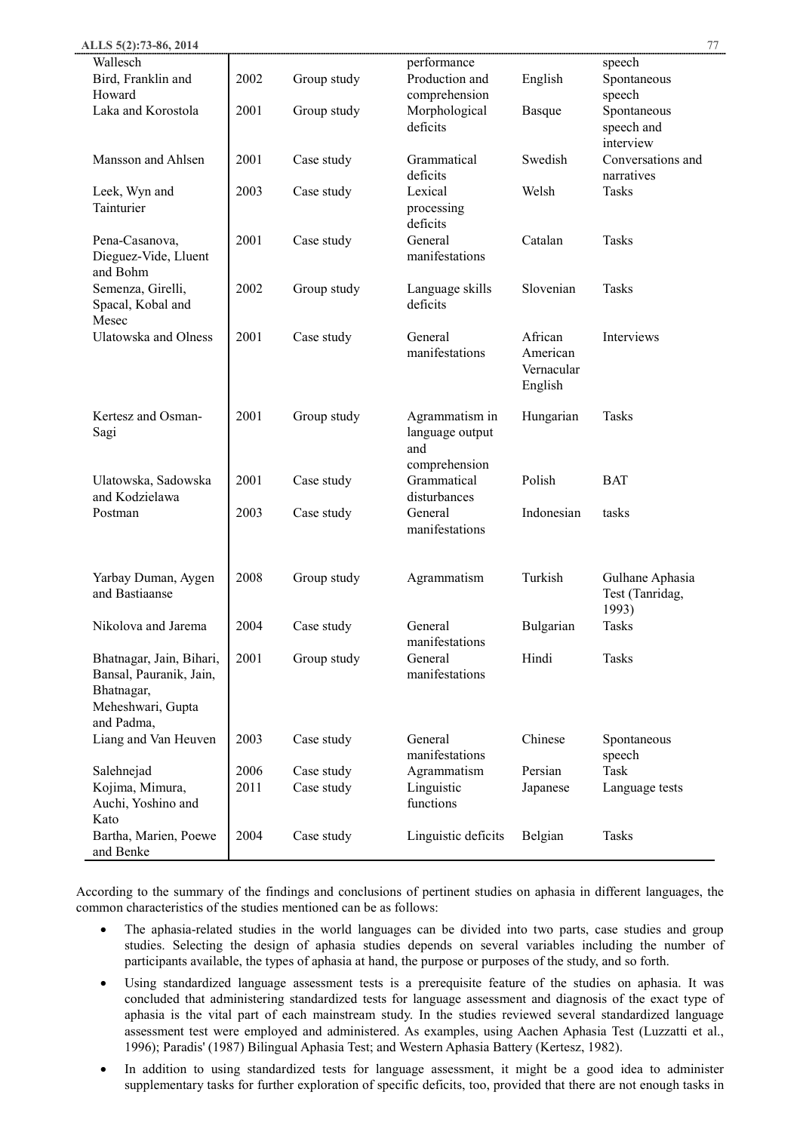| ALLS 5(2):73-86, 2014                 |      |             |                         |               | 77                                 |
|---------------------------------------|------|-------------|-------------------------|---------------|------------------------------------|
| Wallesch                              |      |             | performance             |               | speech                             |
| Bird, Franklin and                    | 2002 | Group study | Production and          | English       | Spontaneous                        |
| Howard                                |      |             | comprehension           |               | speech                             |
| Laka and Korostola                    | 2001 | Group study | Morphological           | <b>Basque</b> | Spontaneous                        |
|                                       |      |             | deficits                |               | speech and                         |
|                                       |      |             |                         | Swedish       | interview                          |
| Mansson and Ahlsen                    | 2001 | Case study  | Grammatical<br>deficits |               | Conversations and<br>narratives    |
| Leek, Wyn and                         | 2003 | Case study  | Lexical                 | Welsh         | <b>Tasks</b>                       |
| Tainturier                            |      |             | processing              |               |                                    |
|                                       |      |             | deficits                |               |                                    |
| Pena-Casanova,                        | 2001 | Case study  | General                 | Catalan       | Tasks                              |
| Dieguez-Vide, Lluent                  |      |             | manifestations          |               |                                    |
| and Bohm                              |      |             |                         |               |                                    |
| Semenza, Girelli,                     | 2002 | Group study | Language skills         | Slovenian     | Tasks                              |
| Spacal, Kobal and                     |      |             | deficits                |               |                                    |
| Mesec                                 |      |             |                         |               |                                    |
| Ulatowska and Olness                  | 2001 | Case study  | General                 | African       | Interviews                         |
|                                       |      |             | manifestations          | American      |                                    |
|                                       |      |             |                         | Vernacular    |                                    |
|                                       |      |             |                         | English       |                                    |
| Kertesz and Osman-                    | 2001 | Group study | Agrammatism in          | Hungarian     | <b>Tasks</b>                       |
| Sagi                                  |      |             | language output         |               |                                    |
|                                       |      |             | and                     |               |                                    |
|                                       |      |             | comprehension           |               |                                    |
| Ulatowska, Sadowska                   | 2001 | Case study  | Grammatical             | Polish        | <b>BAT</b>                         |
| and Kodzielawa                        |      |             | disturbances            |               |                                    |
| Postman                               | 2003 | Case study  | General                 | Indonesian    | tasks                              |
|                                       |      |             | manifestations          |               |                                    |
|                                       |      |             |                         |               |                                    |
|                                       |      |             |                         |               |                                    |
| Yarbay Duman, Aygen<br>and Bastiaanse | 2008 | Group study | Agrammatism             | Turkish       | Gulhane Aphasia<br>Test (Tanridag, |
|                                       |      |             |                         |               | 1993)                              |
| Nikolova and Jarema                   | 2004 | Case study  | General                 | Bulgarian     | <b>Tasks</b>                       |
|                                       |      |             | manifestations          |               |                                    |
| Bhatnagar, Jain, Bihari,              | 2001 | Group study | General                 | Hindi         | <b>Tasks</b>                       |
| Bansal, Pauranik, Jain,               |      |             | manifestations          |               |                                    |
| Bhatnagar,                            |      |             |                         |               |                                    |
| Meheshwari, Gupta                     |      |             |                         |               |                                    |
| and Padma,                            |      |             |                         |               |                                    |
| Liang and Van Heuven                  | 2003 | Case study  | General                 | Chinese       | Spontaneous                        |
|                                       |      |             | manifestations          |               | speech                             |
| Salehnejad                            | 2006 | Case study  | Agrammatism             | Persian       | Task                               |
| Kojima, Mimura,                       | 2011 | Case study  | Linguistic              | Japanese      | Language tests                     |
| Auchi, Yoshino and                    |      |             | functions               |               |                                    |
| Kato<br>Bartha, Marien, Poewe         | 2004 | Case study  | Linguistic deficits     | Belgian       | <b>Tasks</b>                       |
| and Benke                             |      |             |                         |               |                                    |
|                                       |      |             |                         |               |                                    |

According to the summary of the findings and conclusions of pertinent studies on aphasia in different languages, the common characteristics of the studies mentioned can be as follows:

- · The aphasia-related studies in the world languages can be divided into two parts, case studies and group studies. Selecting the design of aphasia studies depends on several variables including the number of participants available, the types of aphasia at hand, the purpose or purposes of the study, and so forth.
- · Using standardized language assessment tests is a prerequisite feature of the studies on aphasia. It was concluded that administering standardized tests for language assessment and diagnosis of the exact type of aphasia is the vital part of each mainstream study. In the studies reviewed several standardized language assessment test were employed and administered. As examples, using Aachen Aphasia Test (Luzzatti et al., 1996); Paradis' (1987) Bilingual Aphasia Test; and Western Aphasia Battery (Kertesz, 1982).
- · In addition to using standardized tests for language assessment, it might be a good idea to administer supplementary tasks for further exploration of specific deficits, too, provided that there are not enough tasks in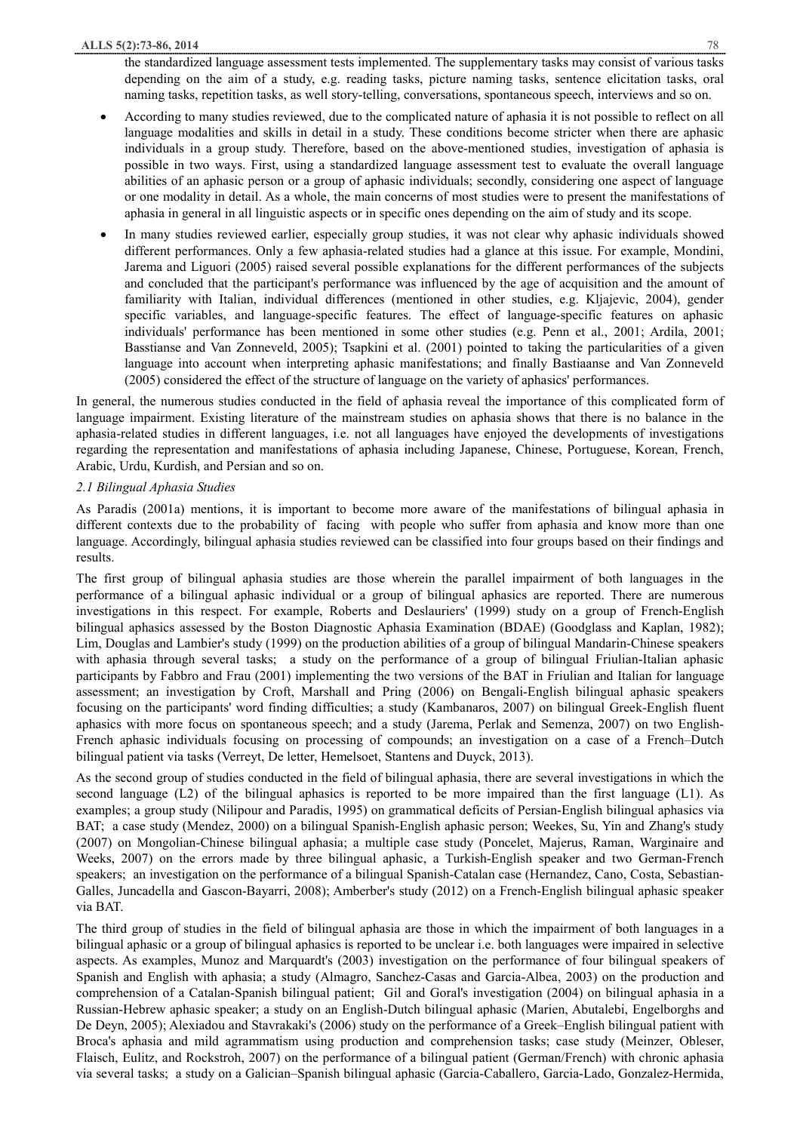the standardized language assessment tests implemented. The supplementary tasks may consist of various tasks depending on the aim of a study, e.g. reading tasks, picture naming tasks, sentence elicitation tasks, oral naming tasks, repetition tasks, as well story-telling, conversations, spontaneous speech, interviews and so on.

- · According to many studies reviewed, due to the complicated nature of aphasia it is not possible to reflect on all language modalities and skills in detail in a study. These conditions become stricter when there are aphasic individuals in a group study. Therefore, based on the above-mentioned studies, investigation of aphasia is possible in two ways. First, using a standardized language assessment test to evaluate the overall language abilities of an aphasic person or a group of aphasic individuals; secondly, considering one aspect of language or one modality in detail. As a whole, the main concerns of most studies were to present the manifestations of aphasia in general in all linguistic aspects or in specific ones depending on the aim of study and its scope.
- · In many studies reviewed earlier, especially group studies, it was not clear why aphasic individuals showed different performances. Only a few aphasia-related studies had a glance at this issue. For example, Mondini, Jarema and Liguori (2005) raised several possible explanations for the different performances of the subjects and concluded that the participant's performance was influenced by the age of acquisition and the amount of familiarity with Italian, individual differences (mentioned in other studies, e.g. Kljajevic, 2004), gender specific variables, and language-specific features. The effect of language-specific features on aphasic individuals' performance has been mentioned in some other studies (e.g. Penn et al., 2001; Ardila, 2001; Basstianse and Van Zonneveld, 2005); Tsapkini et al. (2001) pointed to taking the particularities of a given language into account when interpreting aphasic manifestations; and finally Bastiaanse and Van Zonneveld (2005) considered the effect of the structure of language on the variety of aphasics' performances.

In general, the numerous studies conducted in the field of aphasia reveal the importance of this complicated form of language impairment. Existing literature of the mainstream studies on aphasia shows that there is no balance in the aphasia-related studies in different languages, i.e. not all languages have enjoyed the developments of investigations regarding the representation and manifestations of aphasia including Japanese, Chinese, Portuguese, Korean, French, Arabic, Urdu, Kurdish, and Persian and so on.

## *2.1 Bilingual Aphasia Studies*

As Paradis (2001a) mentions, it is important to become more aware of the manifestations of bilingual aphasia in different contexts due to the probability of facing with people who suffer from aphasia and know more than one language. Accordingly, bilingual aphasia studies reviewed can be classified into four groups based on their findings and results.

The first group of bilingual aphasia studies are those wherein the parallel impairment of both languages in the performance of a bilingual aphasic individual or a group of bilingual aphasics are reported. There are numerous investigations in this respect. For example, Roberts and Deslauriers' (1999) study on a group of French-English bilingual aphasics assessed by the Boston Diagnostic Aphasia Examination (BDAE) (Goodglass and Kaplan, 1982); Lim, Douglas and Lambier's study (1999) on the production abilities of a group of bilingual Mandarin-Chinese speakers with aphasia through several tasks; a study on the performance of a group of bilingual Friulian-Italian aphasic participants by Fabbro and Frau (2001) implementing the two versions of the BAT in Friulian and Italian for language assessment; an investigation by Croft, Marshall and Pring (2006) on Bengali-English bilingual aphasic speakers focusing on the participants' word finding difficulties; a study (Kambanaros, 2007) on bilingual Greek-English fluent aphasics with more focus on spontaneous speech; and a study (Jarema, Perlak and Semenza, 2007) on two English-French aphasic individuals focusing on processing of compounds; an investigation on a case of a French–Dutch bilingual patient via tasks (Verreyt, De letter, Hemelsoet, Stantens and Duyck, 2013).

As the second group of studies conducted in the field of bilingual aphasia, there are several investigations in which the second language (L2) of the bilingual aphasics is reported to be more impaired than the first language (L1). As examples; a group study (Nilipour and Paradis, 1995) on grammatical deficits of Persian-English bilingual aphasics via BAT; a case study (Mendez, 2000) on a bilingual Spanish-English aphasic person; Weekes, Su, Yin and Zhang's study (2007) on Mongolian-Chinese bilingual aphasia; a multiple case study (Poncelet, Majerus, Raman, Warginaire and Weeks, 2007) on the errors made by three bilingual aphasic, a Turkish-English speaker and two German-French speakers; an investigation on the performance of a bilingual Spanish-Catalan case (Hernandez, Cano, Costa, Sebastian-Galles, Juncadella and Gascon-Bayarri, 2008); Amberber's study (2012) on a French-English bilingual aphasic speaker via BAT.

The third group of studies in the field of bilingual aphasia are those in which the impairment of both languages in a bilingual aphasic or a group of bilingual aphasics is reported to be unclear i.e. both languages were impaired in selective aspects. As examples, Munoz and Marquardt's (2003) investigation on the performance of four bilingual speakers of Spanish and English with aphasia; a study (Almagro, Sanchez-Casas and Garcia-Albea, 2003) on the production and comprehension of a Catalan-Spanish bilingual patient; Gil and Goral's investigation (2004) on bilingual aphasia in a Russian-Hebrew aphasic speaker; a study on an English-Dutch bilingual aphasic (Marien, Abutalebi, Engelborghs and De Deyn, 2005); Alexiadou and Stavrakaki's (2006) study on the performance of a Greek–English bilingual patient with Broca's aphasia and mild agrammatism using production and comprehension tasks; case study (Meinzer, Obleser, Flaisch, Eulitz, and Rockstroh, 2007) on the performance of a bilingual patient (German/French) with chronic aphasia via several tasks; a study on a Galician–Spanish bilingual aphasic (Garcia-Caballero, Garcia-Lado, Gonzalez-Hermida,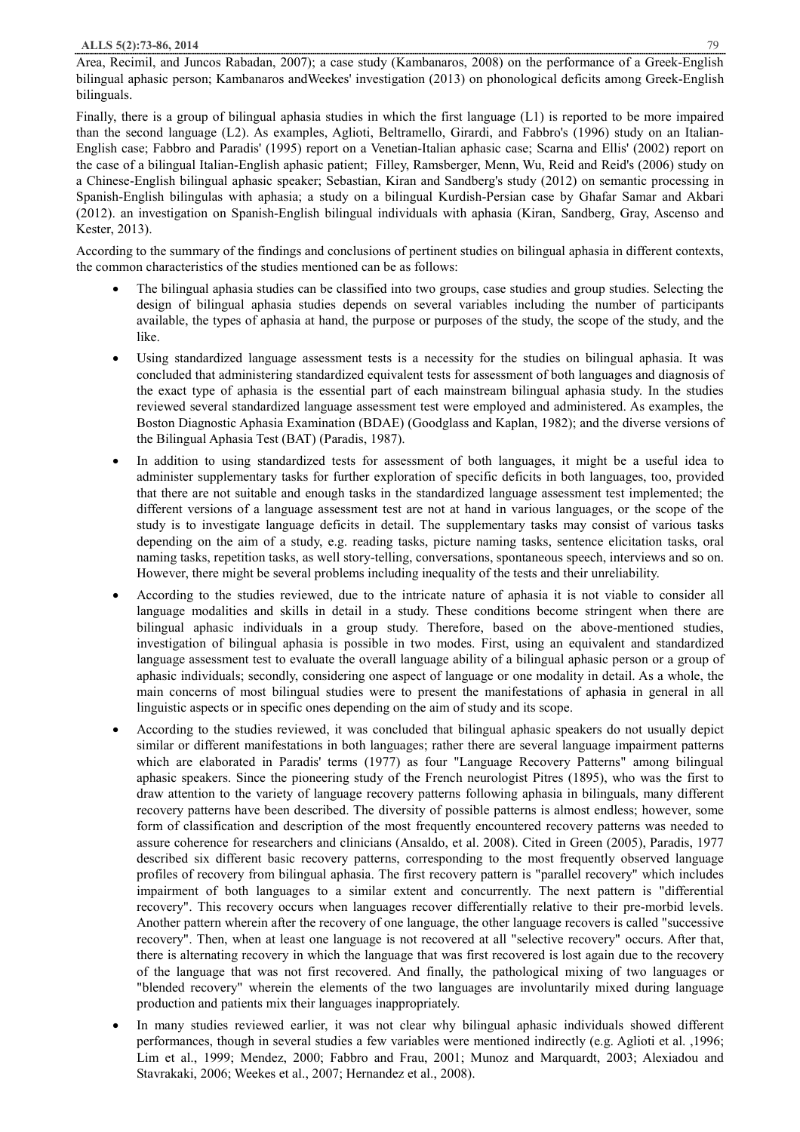Area, Recimil, and Juncos Rabadan, 2007); a case study (Kambanaros, 2008) on the performance of a Greek-English bilingual aphasic person; Kambanaros andWeekes' investigation (2013) on phonological deficits among Greek-English bilinguals.

Finally, there is a group of bilingual aphasia studies in which the first language (L1) is reported to be more impaired than the second language (L2). As examples, Aglioti, Beltramello, Girardi, and Fabbro's (1996) study on an Italian-English case; Fabbro and Paradis' (1995) report on a Venetian-Italian aphasic case; Scarna and Ellis' (2002) report on the case of a bilingual Italian-English aphasic patient; Filley, Ramsberger, Menn, Wu, Reid and Reid's (2006) study on a Chinese-English bilingual aphasic speaker; Sebastian, Kiran and Sandberg's study (2012) on semantic processing in Spanish-English bilingulas with aphasia; a study on a bilingual Kurdish-Persian case by Ghafar Samar and Akbari (2012). an investigation on Spanish-English bilingual individuals with aphasia (Kiran, Sandberg, Gray, Ascenso and Kester, 2013).

According to the summary of the findings and conclusions of pertinent studies on bilingual aphasia in different contexts, the common characteristics of the studies mentioned can be as follows:

- The bilingual aphasia studies can be classified into two groups, case studies and group studies. Selecting the design of bilingual aphasia studies depends on several variables including the number of participants available, the types of aphasia at hand, the purpose or purposes of the study, the scope of the study, and the like.
- Using standardized language assessment tests is a necessity for the studies on bilingual aphasia. It was concluded that administering standardized equivalent tests for assessment of both languages and diagnosis of the exact type of aphasia is the essential part of each mainstream bilingual aphasia study. In the studies reviewed several standardized language assessment test were employed and administered. As examples, the Boston Diagnostic Aphasia Examination (BDAE) (Goodglass and Kaplan, 1982); and the diverse versions of the Bilingual Aphasia Test (BAT) (Paradis, 1987).
- · In addition to using standardized tests for assessment of both languages, it might be a useful idea to administer supplementary tasks for further exploration of specific deficits in both languages, too, provided that there are not suitable and enough tasks in the standardized language assessment test implemented; the different versions of a language assessment test are not at hand in various languages, or the scope of the study is to investigate language deficits in detail. The supplementary tasks may consist of various tasks depending on the aim of a study, e.g. reading tasks, picture naming tasks, sentence elicitation tasks, oral naming tasks, repetition tasks, as well story-telling, conversations, spontaneous speech, interviews and so on. However, there might be several problems including inequality of the tests and their unreliability.
- According to the studies reviewed, due to the intricate nature of aphasia it is not viable to consider all language modalities and skills in detail in a study. These conditions become stringent when there are bilingual aphasic individuals in a group study. Therefore, based on the above-mentioned studies, investigation of bilingual aphasia is possible in two modes. First, using an equivalent and standardized language assessment test to evaluate the overall language ability of a bilingual aphasic person or a group of aphasic individuals; secondly, considering one aspect of language or one modality in detail. As a whole, the main concerns of most bilingual studies were to present the manifestations of aphasia in general in all linguistic aspects or in specific ones depending on the aim of study and its scope.
- According to the studies reviewed, it was concluded that bilingual aphasic speakers do not usually depict similar or different manifestations in both languages; rather there are several language impairment patterns which are elaborated in Paradis' terms (1977) as four "Language Recovery Patterns" among bilingual aphasic speakers. Since the pioneering study of the French neurologist Pitres (1895), who was the first to draw attention to the variety of language recovery patterns following aphasia in bilinguals, many different recovery patterns have been described. The diversity of possible patterns is almost endless; however, some form of classification and description of the most frequently encountered recovery patterns was needed to assure coherence for researchers and clinicians (Ansaldo, et al. 2008). Cited in Green (2005), Paradis, 1977 described six different basic recovery patterns, corresponding to the most frequently observed language profiles of recovery from bilingual aphasia. The first recovery pattern is "parallel recovery" which includes impairment of both languages to a similar extent and concurrently. The next pattern is "differential recovery". This recovery occurs when languages recover differentially relative to their pre-morbid levels. Another pattern wherein after the recovery of one language, the other language recovers is called "successive recovery". Then, when at least one language is not recovered at all "selective recovery" occurs. After that, there is alternating recovery in which the language that was first recovered is lost again due to the recovery of the language that was not first recovered. And finally, the pathological mixing of two languages or "blended recovery" wherein the elements of the two languages are involuntarily mixed during language production and patients mix their languages inappropriately.
- In many studies reviewed earlier, it was not clear why bilingual aphasic individuals showed different performances, though in several studies a few variables were mentioned indirectly (e.g. Aglioti et al. ,1996; Lim et al., 1999; Mendez, 2000; Fabbro and Frau, 2001; Munoz and Marquardt, 2003; Alexiadou and Stavrakaki, 2006; Weekes et al., 2007; Hernandez et al., 2008).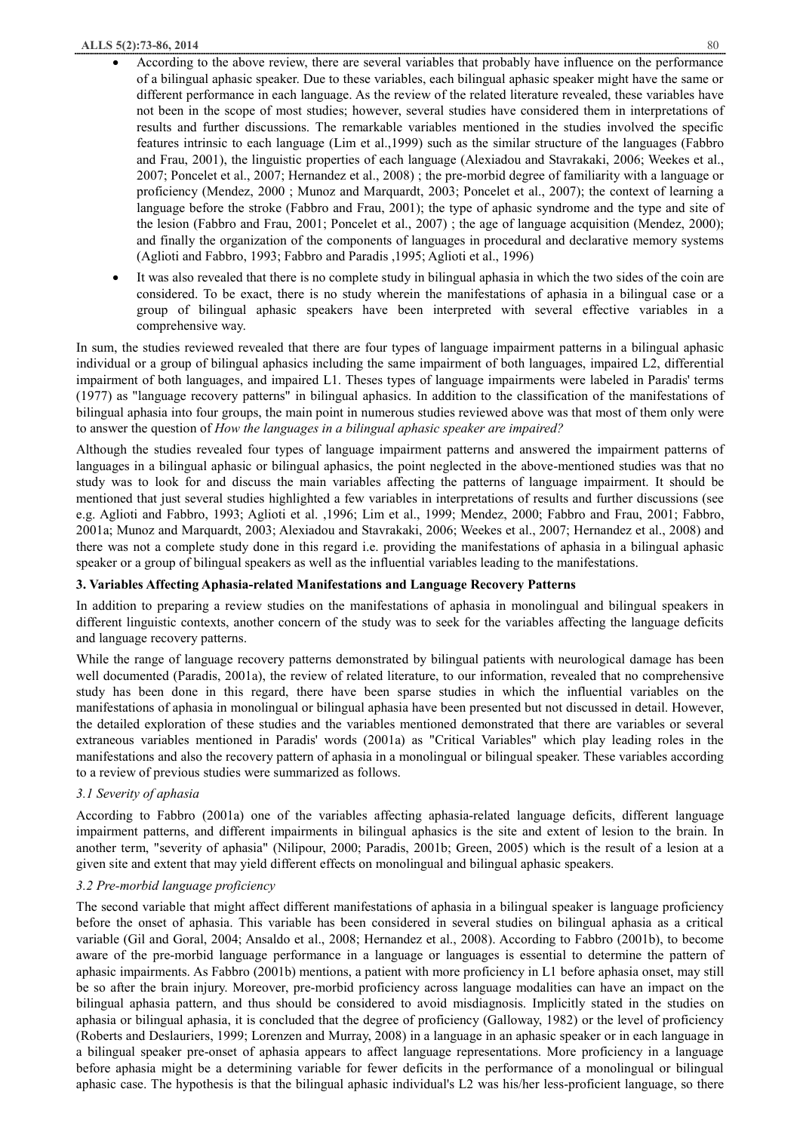#### **ALLS 5(2):73-86, 2014** 80

- According to the above review, there are several variables that probably have influence on the performance of a bilingual aphasic speaker. Due to these variables, each bilingual aphasic speaker might have the same or different performance in each language. As the review of the related literature revealed, these variables have not been in the scope of most studies; however, several studies have considered them in interpretations of results and further discussions. The remarkable variables mentioned in the studies involved the specific features intrinsic to each language (Lim et al.,1999) such as the similar structure of the languages (Fabbro and Frau, 2001), the linguistic properties of each language (Alexiadou and Stavrakaki, 2006; Weekes et al., 2007; Poncelet et al., 2007; Hernandez et al., 2008) ; the pre-morbid degree of familiarity with a language or proficiency (Mendez, 2000 ; Munoz and Marquardt, 2003; Poncelet et al., 2007); the context of learning a language before the stroke (Fabbro and Frau, 2001); the type of aphasic syndrome and the type and site of the lesion (Fabbro and Frau, 2001; Poncelet et al., 2007) ; the age of language acquisition (Mendez, 2000); and finally the organization of the components of languages in procedural and declarative memory systems (Aglioti and Fabbro, 1993; Fabbro and Paradis ,1995; Aglioti et al., 1996)
- It was also revealed that there is no complete study in bilingual aphasia in which the two sides of the coin are considered. To be exact, there is no study wherein the manifestations of aphasia in a bilingual case or a group of bilingual aphasic speakers have been interpreted with several effective variables in a comprehensive way.

In sum, the studies reviewed revealed that there are four types of language impairment patterns in a bilingual aphasic individual or a group of bilingual aphasics including the same impairment of both languages, impaired L2, differential impairment of both languages, and impaired L1. Theses types of language impairments were labeled in Paradis' terms (1977) as "language recovery patterns" in bilingual aphasics. In addition to the classification of the manifestations of bilingual aphasia into four groups, the main point in numerous studies reviewed above was that most of them only were to answer the question of *How the languages in a bilingual aphasic speaker are impaired?*

Although the studies revealed four types of language impairment patterns and answered the impairment patterns of languages in a bilingual aphasic or bilingual aphasics, the point neglected in the above-mentioned studies was that no study was to look for and discuss the main variables affecting the patterns of language impairment. It should be mentioned that just several studies highlighted a few variables in interpretations of results and further discussions (see e.g. Aglioti and Fabbro, 1993; Aglioti et al. ,1996; Lim et al., 1999; Mendez, 2000; Fabbro and Frau, 2001; Fabbro, 2001a; Munoz and Marquardt, 2003; Alexiadou and Stavrakaki, 2006; Weekes et al., 2007; Hernandez et al., 2008) and there was not a complete study done in this regard i.e. providing the manifestations of aphasia in a bilingual aphasic speaker or a group of bilingual speakers as well as the influential variables leading to the manifestations.

## **3. Variables Affecting Aphasia-related Manifestations and Language Recovery Patterns**

In addition to preparing a review studies on the manifestations of aphasia in monolingual and bilingual speakers in different linguistic contexts, another concern of the study was to seek for the variables affecting the language deficits and language recovery patterns.

While the range of language recovery patterns demonstrated by bilingual patients with neurological damage has been well documented (Paradis, 2001a), the review of related literature, to our information, revealed that no comprehensive study has been done in this regard, there have been sparse studies in which the influential variables on the manifestations of aphasia in monolingual or bilingual aphasia have been presented but not discussed in detail. However, the detailed exploration of these studies and the variables mentioned demonstrated that there are variables or several extraneous variables mentioned in Paradis' words (2001a) as "Critical Variables" which play leading roles in the manifestations and also the recovery pattern of aphasia in a monolingual or bilingual speaker. These variables according to a review of previous studies were summarized as follows.

# *3.1 Severity of aphasia*

According to Fabbro (2001a) one of the variables affecting aphasia-related language deficits, different language impairment patterns, and different impairments in bilingual aphasics is the site and extent of lesion to the brain. In another term, "severity of aphasia" (Nilipour, 2000; Paradis, 2001b; Green, 2005) which is the result of a lesion at a given site and extent that may yield different effects on monolingual and bilingual aphasic speakers.

# *3.2 Pre-morbid language proficiency*

The second variable that might affect different manifestations of aphasia in a bilingual speaker is language proficiency before the onset of aphasia. This variable has been considered in several studies on bilingual aphasia as a critical variable (Gil and Goral, 2004; Ansaldo et al., 2008; Hernandez et al., 2008). According to Fabbro (2001b), to become aware of the pre-morbid language performance in a language or languages is essential to determine the pattern of aphasic impairments. As Fabbro (2001b) mentions, a patient with more proficiency in L1 before aphasia onset, may still be so after the brain injury. Moreover, pre-morbid proficiency across language modalities can have an impact on the bilingual aphasia pattern, and thus should be considered to avoid misdiagnosis. Implicitly stated in the studies on aphasia or bilingual aphasia, it is concluded that the degree of proficiency (Galloway, 1982) or the level of proficiency (Roberts and Deslauriers, 1999; Lorenzen and Murray, 2008) in a language in an aphasic speaker or in each language in a bilingual speaker pre-onset of aphasia appears to affect language representations. More proficiency in a language before aphasia might be a determining variable for fewer deficits in the performance of a monolingual or bilingual aphasic case. The hypothesis is that the bilingual aphasic individual's L2 was his/her less-proficient language, so there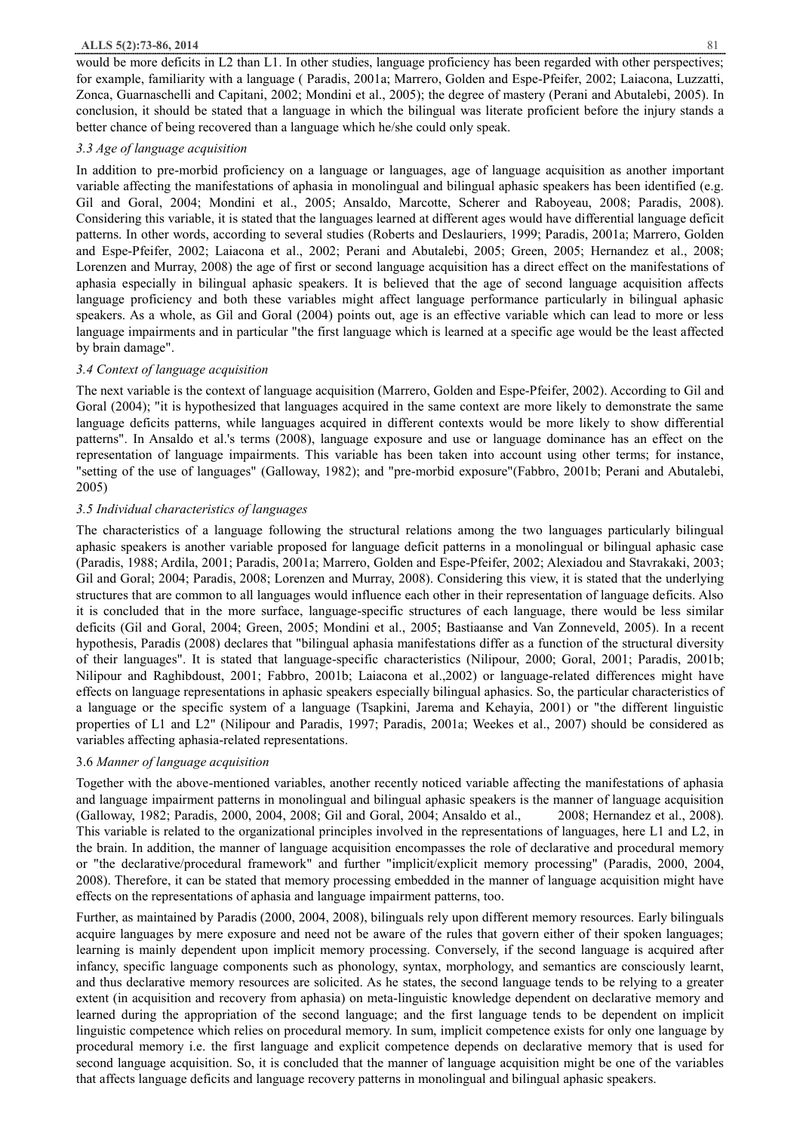would be more deficits in L2 than L1. In other studies, language proficiency has been regarded with other perspectives; for example, familiarity with a language ( Paradis, 2001a; Marrero, Golden and Espe-Pfeifer, 2002; Laiacona, Luzzatti, Zonca, Guarnaschelli and Capitani, 2002; Mondini et al., 2005); the degree of mastery (Perani and Abutalebi, 2005). In conclusion, it should be stated that a language in which the bilingual was literate proficient before the injury stands a better chance of being recovered than a language which he/she could only speak.

#### *3.3 Age of language acquisition*

In addition to pre-morbid proficiency on a language or languages, age of language acquisition as another important variable affecting the manifestations of aphasia in monolingual and bilingual aphasic speakers has been identified (e.g. Gil and Goral, 2004; Mondini et al., 2005; Ansaldo, Marcotte, Scherer and Raboyeau, 2008; Paradis, 2008). Considering this variable, it is stated that the languages learned at different ages would have differential language deficit patterns. In other words, according to several studies (Roberts and Deslauriers, 1999; Paradis, 2001a; Marrero, Golden and Espe-Pfeifer, 2002; Laiacona et al., 2002; Perani and Abutalebi, 2005; Green, 2005; Hernandez et al., 2008; Lorenzen and Murray, 2008) the age of first or second language acquisition has a direct effect on the manifestations of aphasia especially in bilingual aphasic speakers. It is believed that the age of second language acquisition affects language proficiency and both these variables might affect language performance particularly in bilingual aphasic speakers. As a whole, as Gil and Goral (2004) points out, age is an effective variable which can lead to more or less language impairments and in particular "the first language which is learned at a specific age would be the least affected by brain damage".

### *3.4 Context of language acquisition*

The next variable is the context of language acquisition (Marrero, Golden and Espe-Pfeifer, 2002). According to Gil and Goral (2004); "it is hypothesized that languages acquired in the same context are more likely to demonstrate the same language deficits patterns, while languages acquired in different contexts would be more likely to show differential patterns". In Ansaldo et al.'s terms (2008), language exposure and use or language dominance has an effect on the representation of language impairments. This variable has been taken into account using other terms; for instance, "setting of the use of languages" (Galloway, 1982); and "pre-morbid exposure"(Fabbro, 2001b; Perani and Abutalebi, 2005)

### *3.5 Individual characteristics of languages*

The characteristics of a language following the structural relations among the two languages particularly bilingual aphasic speakers is another variable proposed for language deficit patterns in a monolingual or bilingual aphasic case (Paradis, 1988; Ardila, 2001; Paradis, 2001a; Marrero, Golden and Espe-Pfeifer, 2002; Alexiadou and Stavrakaki, 2003; Gil and Goral; 2004; Paradis, 2008; Lorenzen and Murray, 2008). Considering this view, it is stated that the underlying structures that are common to all languages would influence each other in their representation of language deficits. Also it is concluded that in the more surface, language-specific structures of each language, there would be less similar deficits (Gil and Goral, 2004; Green, 2005; Mondini et al., 2005; Bastiaanse and Van Zonneveld, 2005). In a recent hypothesis, Paradis (2008) declares that "bilingual aphasia manifestations differ as a function of the structural diversity of their languages". It is stated that language-specific characteristics (Nilipour, 2000; Goral, 2001; Paradis, 2001b; Nilipour and Raghibdoust, 2001; Fabbro, 2001b; Laiacona et al.,2002) or language-related differences might have effects on language representations in aphasic speakers especially bilingual aphasics. So, the particular characteristics of a language or the specific system of a language (Tsapkini, Jarema and Kehayia, 2001) or "the different linguistic properties of L1 and L2" (Nilipour and Paradis, 1997; Paradis, 2001a; Weekes et al., 2007) should be considered as variables affecting aphasia-related representations.

### 3.6 *Manner of language acquisition*

Together with the above-mentioned variables, another recently noticed variable affecting the manifestations of aphasia and language impairment patterns in monolingual and bilingual aphasic speakers is the manner of language acquisition (Galloway, 1982; Paradis, 2000, 2004, 2008; Gil and Goral, 2004; Ansaldo et al., 2008; Hernandez et al., 2008). This variable is related to the organizational principles involved in the representations of languages, here L1 and L2, in the brain. In addition, the manner of language acquisition encompasses the role of declarative and procedural memory or "the declarative/procedural framework" and further "implicit/explicit memory processing" (Paradis, 2000, 2004, 2008). Therefore, it can be stated that memory processing embedded in the manner of language acquisition might have effects on the representations of aphasia and language impairment patterns, too.

Further, as maintained by Paradis (2000, 2004, 2008), bilinguals rely upon different memory resources. Early bilinguals acquire languages by mere exposure and need not be aware of the rules that govern either of their spoken languages; learning is mainly dependent upon implicit memory processing. Conversely, if the second language is acquired after infancy, specific language components such as phonology, syntax, morphology, and semantics are consciously learnt, and thus declarative memory resources are solicited. As he states, the second language tends to be relying to a greater extent (in acquisition and recovery from aphasia) on meta-linguistic knowledge dependent on declarative memory and learned during the appropriation of the second language; and the first language tends to be dependent on implicit linguistic competence which relies on procedural memory. In sum, implicit competence exists for only one language by procedural memory i.e. the first language and explicit competence depends on declarative memory that is used for second language acquisition. So, it is concluded that the manner of language acquisition might be one of the variables that affects language deficits and language recovery patterns in monolingual and bilingual aphasic speakers.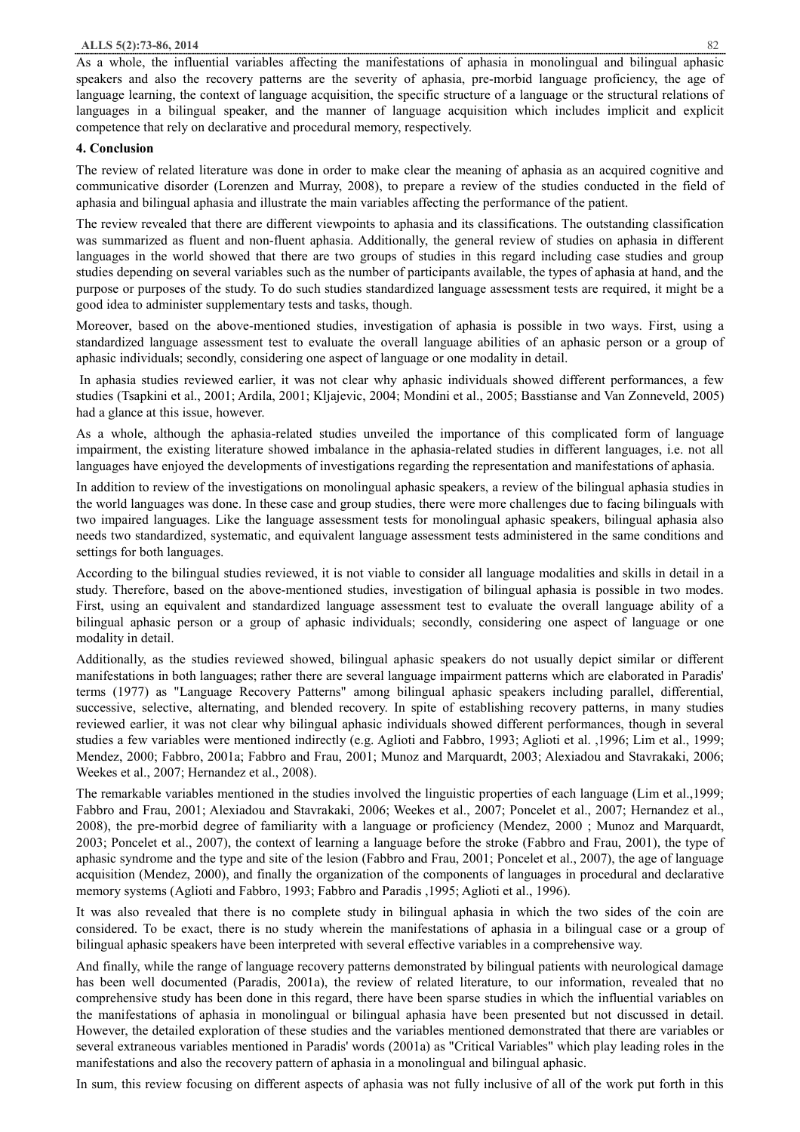As a whole, the influential variables affecting the manifestations of aphasia in monolingual and bilingual aphasic speakers and also the recovery patterns are the severity of aphasia, pre-morbid language proficiency, the age of language learning, the context of language acquisition, the specific structure of a language or the structural relations of languages in a bilingual speaker, and the manner of language acquisition which includes implicit and explicit competence that rely on declarative and procedural memory, respectively.

#### **4. Conclusion**

The review of related literature was done in order to make clear the meaning of aphasia as an acquired cognitive and communicative disorder (Lorenzen and Murray, 2008), to prepare a review of the studies conducted in the field of aphasia and bilingual aphasia and illustrate the main variables affecting the performance of the patient.

The review revealed that there are different viewpoints to aphasia and its classifications. The outstanding classification was summarized as fluent and non-fluent aphasia. Additionally, the general review of studies on aphasia in different languages in the world showed that there are two groups of studies in this regard including case studies and group studies depending on several variables such as the number of participants available, the types of aphasia at hand, and the purpose or purposes of the study. To do such studies standardized language assessment tests are required, it might be a good idea to administer supplementary tests and tasks, though.

Moreover, based on the above-mentioned studies, investigation of aphasia is possible in two ways. First, using a standardized language assessment test to evaluate the overall language abilities of an aphasic person or a group of aphasic individuals; secondly, considering one aspect of language or one modality in detail.

 In aphasia studies reviewed earlier, it was not clear why aphasic individuals showed different performances, a few studies (Tsapkini et al., 2001; Ardila, 2001; Kljajevic, 2004; Mondini et al., 2005; Basstianse and Van Zonneveld, 2005) had a glance at this issue, however.

As a whole, although the aphasia-related studies unveiled the importance of this complicated form of language impairment, the existing literature showed imbalance in the aphasia-related studies in different languages, i.e. not all languages have enjoyed the developments of investigations regarding the representation and manifestations of aphasia.

In addition to review of the investigations on monolingual aphasic speakers, a review of the bilingual aphasia studies in the world languages was done. In these case and group studies, there were more challenges due to facing bilinguals with two impaired languages. Like the language assessment tests for monolingual aphasic speakers, bilingual aphasia also needs two standardized, systematic, and equivalent language assessment tests administered in the same conditions and settings for both languages.

According to the bilingual studies reviewed, it is not viable to consider all language modalities and skills in detail in a study. Therefore, based on the above-mentioned studies, investigation of bilingual aphasia is possible in two modes. First, using an equivalent and standardized language assessment test to evaluate the overall language ability of a bilingual aphasic person or a group of aphasic individuals; secondly, considering one aspect of language or one modality in detail.

Additionally, as the studies reviewed showed, bilingual aphasic speakers do not usually depict similar or different manifestations in both languages; rather there are several language impairment patterns which are elaborated in Paradis' terms (1977) as "Language Recovery Patterns" among bilingual aphasic speakers including parallel, differential, successive, selective, alternating, and blended recovery. In spite of establishing recovery patterns, in many studies reviewed earlier, it was not clear why bilingual aphasic individuals showed different performances, though in several studies a few variables were mentioned indirectly (e.g. Aglioti and Fabbro, 1993; Aglioti et al. ,1996; Lim et al., 1999; Mendez, 2000; Fabbro, 2001a; Fabbro and Frau, 2001; Munoz and Marquardt, 2003; Alexiadou and Stavrakaki, 2006; Weekes et al., 2007; Hernandez et al., 2008).

The remarkable variables mentioned in the studies involved the linguistic properties of each language (Lim et al.,1999; Fabbro and Frau, 2001; Alexiadou and Stavrakaki, 2006; Weekes et al., 2007; Poncelet et al., 2007; Hernandez et al., 2008), the pre-morbid degree of familiarity with a language or proficiency (Mendez, 2000 ; Munoz and Marquardt, 2003; Poncelet et al., 2007), the context of learning a language before the stroke (Fabbro and Frau, 2001), the type of aphasic syndrome and the type and site of the lesion (Fabbro and Frau, 2001; Poncelet et al., 2007), the age of language acquisition (Mendez, 2000), and finally the organization of the components of languages in procedural and declarative memory systems (Aglioti and Fabbro, 1993; Fabbro and Paradis ,1995; Aglioti et al., 1996).

It was also revealed that there is no complete study in bilingual aphasia in which the two sides of the coin are considered. To be exact, there is no study wherein the manifestations of aphasia in a bilingual case or a group of bilingual aphasic speakers have been interpreted with several effective variables in a comprehensive way.

And finally, while the range of language recovery patterns demonstrated by bilingual patients with neurological damage has been well documented (Paradis, 2001a), the review of related literature, to our information, revealed that no comprehensive study has been done in this regard, there have been sparse studies in which the influential variables on the manifestations of aphasia in monolingual or bilingual aphasia have been presented but not discussed in detail. However, the detailed exploration of these studies and the variables mentioned demonstrated that there are variables or several extraneous variables mentioned in Paradis' words (2001a) as "Critical Variables" which play leading roles in the manifestations and also the recovery pattern of aphasia in a monolingual and bilingual aphasic.

In sum, this review focusing on different aspects of aphasia was not fully inclusive of all of the work put forth in this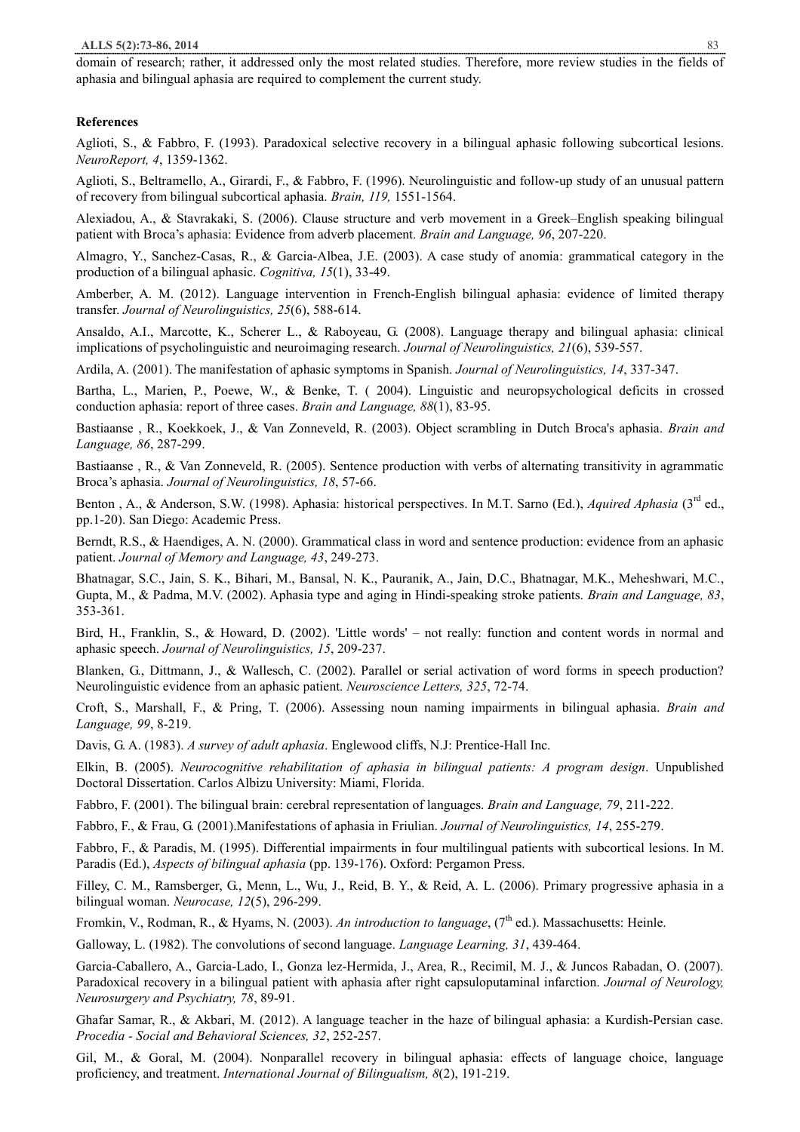domain of research; rather, it addressed only the most related studies. Therefore, more review studies in the fields of aphasia and bilingual aphasia are required to complement the current study.

#### **References**

Aglioti, S., & Fabbro, F. (1993). Paradoxical selective recovery in a bilingual aphasic following subcortical lesions. *NeuroReport, 4*, 1359-1362.

Aglioti, S., Beltramello, A., Girardi, F., & Fabbro, F. (1996). Neurolinguistic and follow-up study of an unusual pattern of recovery from bilingual subcortical aphasia. *Brain, 119,* 1551-1564.

Alexiadou, A., & Stavrakaki, S. (2006). Clause structure and verb movement in a Greek–English speaking bilingual patient with Broca's aphasia: Evidence from adverb placement. *Brain and Language, 96*, 207-220.

Almagro, Y., Sanchez-Casas, R., & Garcia-Albea, J.E. (2003). A case study of anomia: grammatical category in the production of a bilingual aphasic. *Cognitiva, 15*(1), 33-49.

Amberber, A. M. (2012). Language intervention in French-English bilingual aphasia: evidence of limited therapy transfer. *Journal of Neurolinguistics, 25*(6), 588-614.

Ansaldo, A.I., Marcotte, K., Scherer L., & Raboyeau, G. (2008). Language therapy and bilingual aphasia: clinical implications of psycholinguistic and neuroimaging research. *Journal of Neurolinguistics, 21*(6), 539-557.

Ardila, A. (2001). The manifestation of aphasic symptoms in Spanish. *Journal of Neurolinguistics, 14*, 337-347.

Bartha, L., Marien, P., Poewe, W., & Benke, T. ( 2004). Linguistic and neuropsychological deficits in crossed conduction aphasia: report of three cases. *Brain and Language, 88*(1), 83-95.

Bastiaanse , R., Koekkoek, J., & Van Zonneveld, R. (2003). Object scrambling in Dutch Broca's aphasia. *Brain and Language, 86*, 287-299.

Bastiaanse , R., & Van Zonneveld, R. (2005). Sentence production with verbs of alternating transitivity in agrammatic Broca's aphasia. *Journal of Neurolinguistics, 18*, 57-66.

Benton , A., & Anderson, S.W. (1998). Aphasia: historical perspectives. In M.T. Sarno (Ed.), *Aquired Aphasia* (3rd ed., pp.1-20). San Diego: Academic Press.

Berndt, R.S., & Haendiges, A. N. (2000). Grammatical class in word and sentence production: evidence from an aphasic patient. *Journal of Memory and Language, 43*, 249-273.

Bhatnagar, S.C., Jain, S. K., Bihari, M., Bansal, N. K., Pauranik, A., Jain, D.C., Bhatnagar, M.K., Meheshwari, M.C., Gupta, M., & Padma, M.V. (2002). Aphasia type and aging in Hindi-speaking stroke patients. *Brain and Language, 83*, 353-361.

Bird, H., Franklin, S., & Howard, D. (2002). 'Little words' – not really: function and content words in normal and aphasic speech. *Journal of Neurolinguistics, 15*, 209-237.

Blanken, G., Dittmann, J., & Wallesch, C. (2002). Parallel or serial activation of word forms in speech production? Neurolinguistic evidence from an aphasic patient. *Neuroscience Letters, 325*, 72-74.

Croft, S., Marshall, F., & Pring, T. (2006). Assessing noun naming impairments in bilingual aphasia. *Brain and Language, 99*, 8-219.

Davis, G. A. (1983). *A survey of adult aphasia*. Englewood cliffs, N.J: Prentice-Hall Inc.

Elkin, B. (2005). *Neurocognitive rehabilitation of aphasia in bilingual patients: A program design*. Unpublished Doctoral Dissertation. Carlos Albizu University: Miami, Florida.

Fabbro, F. (2001). The bilingual brain: cerebral representation of languages. *Brain and Language, 79*, 211-222.

Fabbro, F., & Frau, G. (2001).Manifestations of aphasia in Friulian. *Journal of Neurolinguistics, 14*, 255-279.

Fabbro, F., & Paradis, M. (1995). Differential impairments in four multilingual patients with subcortical lesions. In M. Paradis (Ed.), *Aspects of bilingual aphasia* (pp. 139-176). Oxford: Pergamon Press.

Filley, C. M., Ramsberger, G., Menn, L., Wu, J., Reid, B. Y., & Reid, A. L. (2006). Primary progressive aphasia in a bilingual woman. *Neurocase, 12*(5), 296-299.

Fromkin, V., Rodman, R., & Hyams, N. (2003). An introduction to language, (7<sup>th</sup> ed.). Massachusetts: Heinle.

Galloway, L. (1982). The convolutions of second language. *Language Learning, 31*, 439-464.

Garcia-Caballero, A., Garcia-Lado, I., Gonza lez-Hermida, J., Area, R., Recimil, M. J., & Juncos Rabadan, O. (2007). Paradoxical recovery in a bilingual patient with aphasia after right capsuloputaminal infarction. *Journal of Neurology, Neurosurgery and Psychiatry, 78*, 89-91.

Ghafar Samar, R., & Akbari, M. (2012). A language teacher in the haze of bilingual aphasia: a Kurdish-Persian case. *Procedia - Social and Behavioral Sciences, 32*, 252-257.

Gil, M., & Goral, M. (2004). Nonparallel recovery in bilingual aphasia: effects of language choice, language proficiency, and treatment. *International Journal of Bilingualism, 8*(2), 191-219.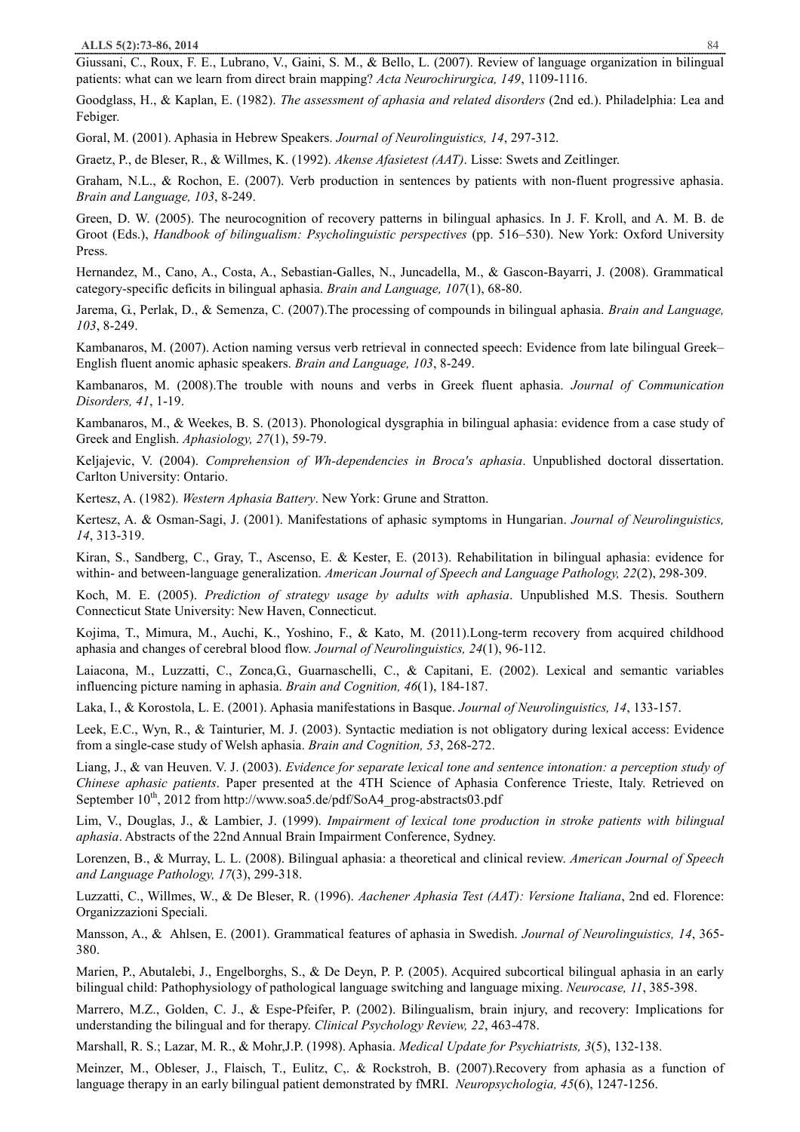Giussani, C., Roux, F. E., Lubrano, V., Gaini, S. M., & Bello, L. (2007). Review of language organization in bilingual patients: what can we learn from direct brain mapping? *Acta Neurochirurgica, 149*, 1109-1116.

Goodglass, H., & Kaplan, E. (1982). *The assessment of aphasia and related disorders* (2nd ed.). Philadelphia: Lea and Febiger.

Goral, M. (2001). Aphasia in Hebrew Speakers. *Journal of Neurolinguistics, 14*, 297-312.

Graetz, P., de Bleser, R., & Willmes, K. (1992). *Akense Afasietest (AAT)*. Lisse: Swets and Zeitlinger.

Graham, N.L., & Rochon, E. (2007). Verb production in sentences by patients with non-fluent progressive aphasia. *Brain and Language, 103*, 8-249.

Green, D. W. (2005). The neurocognition of recovery patterns in bilingual aphasics. In J. F. Kroll, and A. M. B. de Groot (Eds.), *Handbook of bilingualism: Psycholinguistic perspectives* (pp. 516–530). New York: Oxford University Press.

Hernandez, M., Cano, A., Costa, A., Sebastian-Galles, N., Juncadella, M., & Gascon-Bayarri, J. (2008). Grammatical category-specific deficits in bilingual aphasia. *Brain and Language, 107*(1), 68-80.

Jarema, G., Perlak, D., & Semenza, C. (2007).The processing of compounds in bilingual aphasia. *Brain and Language, 103*, 8-249.

Kambanaros, M. (2007). Action naming versus verb retrieval in connected speech: Evidence from late bilingual Greek– English fluent anomic aphasic speakers. *Brain and Language, 103*, 8-249.

Kambanaros, M. (2008).The trouble with nouns and verbs in Greek fluent aphasia. *Journal of Communication Disorders, 41*, 1-19.

Kambanaros, M., & Weekes, B. S. (2013). Phonological dysgraphia in bilingual aphasia: evidence from a case study of Greek and English. *Aphasiology, 27*(1), 59-79.

Keljajevic, V. (2004). *Comprehension of Wh-dependencies in Broca's aphasia*. Unpublished doctoral dissertation. Carlton University: Ontario.

Kertesz, A. (1982). *Western Aphasia Battery*. New York: Grune and Stratton.

Kertesz, A. & Osman-Sagi, J. (2001). Manifestations of aphasic symptoms in Hungarian. *Journal of Neurolinguistics, 14*, 313-319.

Kiran, S., Sandberg, C., Gray, T., Ascenso, E. & Kester, E. (2013). Rehabilitation in bilingual aphasia: evidence for within- and between-language generalization. *American Journal of Speech and Language Pathology, 22*(2), 298-309.

Koch, M. E. (2005). *Prediction of strategy usage by adults with aphasia*. Unpublished M.S. Thesis. Southern Connecticut State University: New Haven, Connecticut.

Kojima, T., Mimura, M., Auchi, K., Yoshino, F., & Kato, M. (2011).Long-term recovery from acquired childhood aphasia and changes of cerebral blood flow. *Journal of Neurolinguistics, 24*(1), 96-112.

Laiacona, M., Luzzatti, C., Zonca,G., Guarnaschelli, C., & Capitani, E. (2002). Lexical and semantic variables influencing picture naming in aphasia. *Brain and Cognition, 46*(1), 184-187.

Laka, I., & Korostola, L. E. (2001). Aphasia manifestations in Basque. *Journal of Neurolinguistics, 14*, 133-157.

Leek, E.C., Wyn, R., & Tainturier, M. J. (2003). Syntactic mediation is not obligatory during lexical access: Evidence from a single-case study of Welsh aphasia. *Brain and Cognition, 53*, 268-272.

Liang, J., & van Heuven. V. J. (2003). *Evidence for separate lexical tone and sentence intonation: a perception study of Chinese aphasic patients*. Paper presented at the 4TH Science of Aphasia Conference Trieste, Italy. Retrieved on September 10<sup>th</sup>, 2012 from http://www.soa5.de/pdf/SoA4\_prog-abstracts03.pdf

Lim, V., Douglas, J., & Lambier, J. (1999). *Impairment of lexical tone production in stroke patients with bilingual aphasia*. Abstracts of the 22nd Annual Brain Impairment Conference, Sydney.

Lorenzen, B., & Murray, L. L. (2008). Bilingual aphasia: a theoretical and clinical review. *American Journal of Speech and Language Pathology, 17*(3), 299-318.

Luzzatti, C., Willmes, W., & De Bleser, R. (1996). *Aachener Aphasia Test (AAT): Versione Italiana*, 2nd ed. Florence: Organizzazioni Speciali.

Mansson, A., & Ahlsen, E. (2001). Grammatical features of aphasia in Swedish. *Journal of Neurolinguistics, 14*, 365- 380.

Marien, P., Abutalebi, J., Engelborghs, S., & De Deyn, P. P. (2005). Acquired subcortical bilingual aphasia in an early bilingual child: Pathophysiology of pathological language switching and language mixing. *Neurocase, 11*, 385-398.

Marrero, M.Z., Golden, C. J., & Espe-Pfeifer, P. (2002). Bilingualism, brain injury, and recovery: Implications for understanding the bilingual and for therapy. *Clinical Psychology Review, 22*, 463-478.

Marshall, R. S.; Lazar, M. R., & Mohr,J.P. (1998). Aphasia. *Medical Update for Psychiatrists, 3*(5), 132-138.

Meinzer, M., Obleser, J., Flaisch, T., Eulitz, C,. & Rockstroh, B. (2007).Recovery from aphasia as a function of language therapy in an early bilingual patient demonstrated by fMRI. *Neuropsychologia, 45*(6), 1247-1256.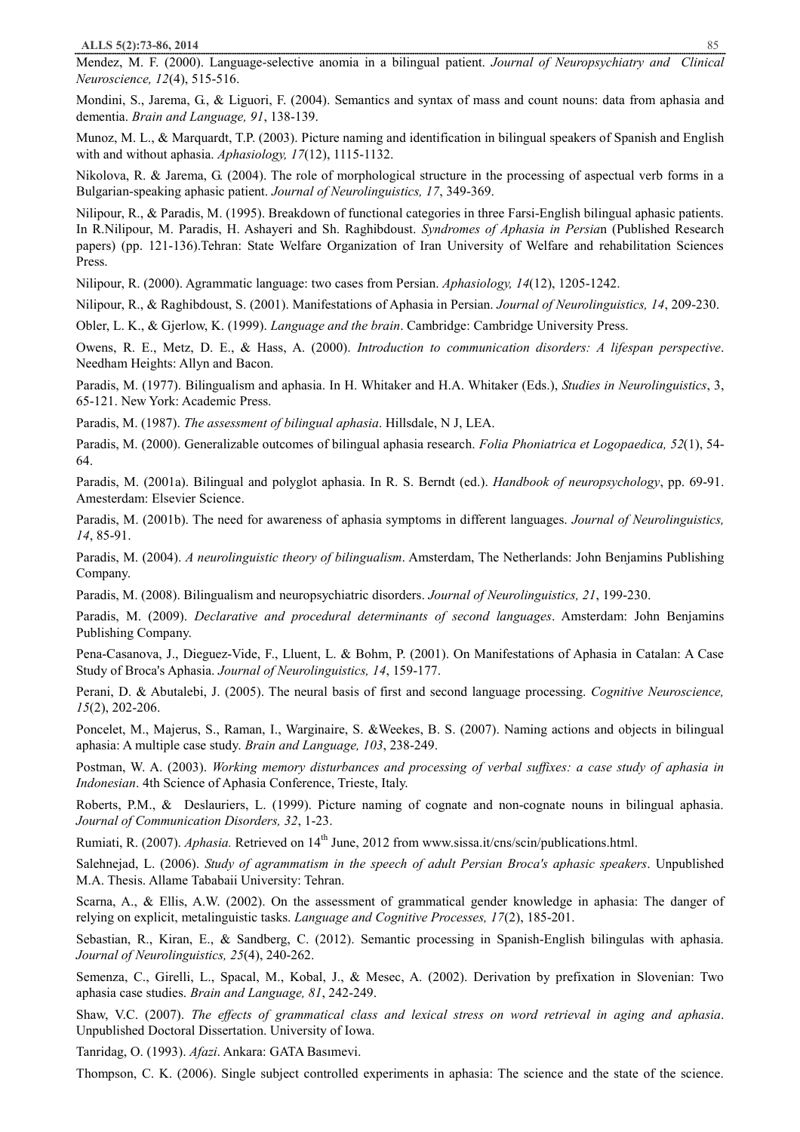Mendez, M. F. (2000). Language-selective anomia in a bilingual patient. *Journal of Neuropsychiatry and Clinical Neuroscience, 12*(4), 515-516.

Mondini, S., Jarema, G., & Liguori, F. (2004). Semantics and syntax of mass and count nouns: data from aphasia and dementia. *Brain and Language, 91*, 138-139.

Munoz, M. L., & Marquardt, T.P. (2003). Picture naming and identification in bilingual speakers of Spanish and English with and without aphasia. *Aphasiology, 17*(12), 1115-1132.

Nikolova, R. & Jarema, G. (2004). The role of morphological structure in the processing of aspectual verb forms in a Bulgarian-speaking aphasic patient. *Journal of Neurolinguistics, 17*, 349-369.

Nilipour, R., & Paradis, M. (1995). Breakdown of functional categories in three Farsi-English bilingual aphasic patients. In R.Nilipour, M. Paradis, H. Ashayeri and Sh. Raghibdoust. *Syndromes of Aphasia in Persia*n (Published Research papers) (pp. 121-136).Tehran: State Welfare Organization of Iran University of Welfare and rehabilitation Sciences Press.

Nilipour, R. (2000). Agrammatic language: two cases from Persian. *Aphasiology, 14*(12), 1205-1242.

Nilipour, R., & Raghibdoust, S. (2001). Manifestations of Aphasia in Persian. *Journal of Neurolinguistics, 14*, 209-230.

Obler, L. K., & Gjerlow, K. (1999). *Language and the brain*. Cambridge: Cambridge University Press.

Owens, R. E., Metz, D. E., & Hass, A. (2000). *Introduction to communication disorders: A lifespan perspective*. Needham Heights: Allyn and Bacon.

Paradis, M. (1977). Bilingualism and aphasia. In H. Whitaker and H.A. Whitaker (Eds.), *Studies in Neurolinguistics*, 3, 65-121. New York: Academic Press.

Paradis, M. (1987). *The assessment of bilingual aphasia*. Hillsdale, N J, LEA.

Paradis, M. (2000). Generalizable outcomes of bilingual aphasia research. *Folia Phoniatrica et Logopaedica, 52*(1), 54- 64.

Paradis, M. (2001a). Bilingual and polyglot aphasia. In R. S. Berndt (ed.). *Handbook of neuropsychology*, pp. 69-91. Amesterdam: Elsevier Science.

Paradis, M. (2001b). The need for awareness of aphasia symptoms in different languages. *Journal of Neurolinguistics, 14*, 85-91.

Paradis, M. (2004). *A neurolinguistic theory of bilingualism*. Amsterdam, The Netherlands: John Benjamins Publishing Company.

Paradis, M. (2008). Bilingualism and neuropsychiatric disorders. *Journal of Neurolinguistics, 21*, 199-230.

Paradis, M. (2009). *Declarative and procedural determinants of second languages*. Amsterdam: John Benjamins Publishing Company.

Pena-Casanova, J., Dieguez-Vide, F., Lluent, L. & Bohm, P. (2001). On Manifestations of Aphasia in Catalan: A Case Study of Broca's Aphasia. *Journal of Neurolinguistics, 14*, 159-177.

Perani, D. & Abutalebi, J. (2005). The neural basis of first and second language processing. *Cognitive Neuroscience, 15*(2), 202-206.

Poncelet, M., Majerus, S., Raman, I., Warginaire, S. &Weekes, B. S. (2007). Naming actions and objects in bilingual aphasia: A multiple case study. *Brain and Language, 103*, 238-249.

Postman, W. A. (2003). *Working memory disturbances and processing of verbal suffixes: a case study of aphasia in Indonesian*. 4th Science of Aphasia Conference, Trieste, Italy.

Roberts, P.M., & Deslauriers, L. (1999). Picture naming of cognate and non-cognate nouns in bilingual aphasia. *Journal of Communication Disorders, 32*, 1-23.

Rumiati, R. (2007). *Aphasia*. Retrieved on 14<sup>th</sup> June, 2012 from www.sissa.it/cns/scin/publications.html.

Salehnejad, L. (2006). *Study of agrammatism in the speech of adult Persian Broca's aphasic speakers*. Unpublished M.A. Thesis. Allame Tababaii University: Tehran.

Scarna, A., & Ellis, A.W. (2002). On the assessment of grammatical gender knowledge in aphasia: The danger of relying on explicit, metalinguistic tasks. *Language and Cognitive Processes, 17*(2), 185-201.

Sebastian, R., Kiran, E., & Sandberg, C. (2012). Semantic processing in Spanish-English bilingulas with aphasia. *Journal of Neurolinguistics, 25*(4), 240-262.

Semenza, C., Girelli, L., Spacal, M., Kobal, J., & Mesec, A. (2002). Derivation by prefixation in Slovenian: Two aphasia case studies. *Brain and Language, 81*, 242-249.

Shaw, V.C. (2007). *The effects of grammatical class and lexical stress on word retrieval in aging and aphasia*. Unpublished Doctoral Dissertation. University of Iowa.

Tanridag, O. (1993). *Afazi*. Ankara: GATA Basımevi.

Thompson, C. K. (2006). Single subject controlled experiments in aphasia: The science and the state of the science.